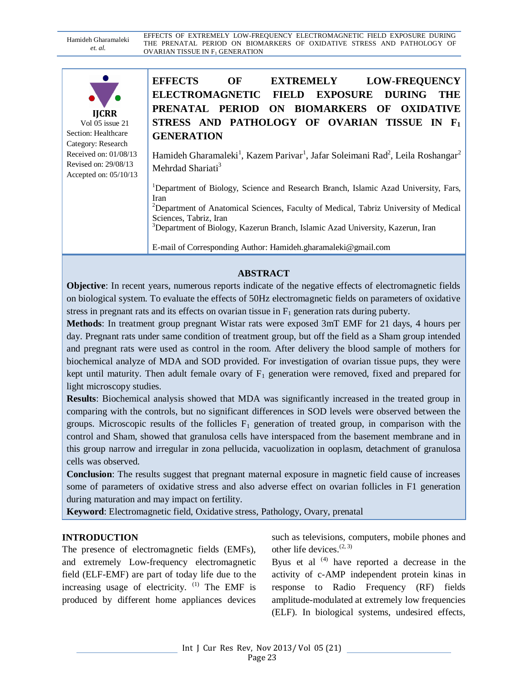Hamideh Gharamaleki *et. al.* EFFECTS OF EXTREMELY LOW-FREQUENCY ELECTROMAGNETIC FIELD EXPOSURE DURING THE PRENATAL PERIOD ON BIOMARKERS OF OXIDATIVE STRESS AND PATHOLOGY OF OVARIAN TISSUE IN  $\mathrm{F_{1}}$  GENERATION

| <b>IJCRR</b>    |
|-----------------|
| Vol 05 issue 21 |

Section: Healthcare Category: Research Received on: 01/08/13 Revised on: 29/08/13 Accepted on: 05/10/13 **EFFECTS OF EXTREMELY LOW-FREQUENCY ELECTROMAGNETIC FIELD EXPOSURE DURING THE PRENATAL PERIOD ON BIOMARKERS OF OXIDATIVE STRESS AND PATHOLOGY OF OVARIAN TISSUE IN F<sup>1</sup> GENERATION**

Hamideh Gharamaleki<sup>1</sup>, Kazem Parivar<sup>1</sup>, Jafar Soleimani Rad<sup>2</sup>, Leila Roshangar<sup>2</sup> Mehrdad Shariati<sup>3</sup>

<sup>1</sup>Department of Biology, Science and Research Branch, Islamic Azad University, Fars, Iran <sup>2</sup>Department of Anatomical Sciences, Faculty of Medical, Tabriz University of Medical Sciences, Tabriz, Iran <sup>3</sup>Department of Biology, Kazerun Branch, Islamic Azad University, Kazerun, Iran

E-mail of Corresponding Author: Hamideh.gharamaleki@gmail.com

#### **ABSTRACT**

**Objective**: In recent years, numerous reports indicate of the negative effects of electromagnetic fields on biological system. To evaluate the effects of 50Hz electromagnetic fields on parameters of oxidative stress in pregnant rats and its effects on ovarian tissue in  $F_1$  generation rats during puberty.

**Methods**: In treatment group pregnant Wistar rats were exposed 3mT EMF for 21 days, 4 hours per day. Pregnant rats under same condition of treatment group, but off the field as a Sham group intended and pregnant rats were used as control in the room. After delivery the blood sample of mothers for biochemical analyze of MDA and SOD provided. For investigation of ovarian tissue pups, they were kept until maturity. Then adult female ovary of  $F_1$  generation were removed, fixed and prepared for light microscopy studies.

**Results**: Biochemical analysis showed that MDA was significantly increased in the treated group in comparing with the controls, but no significant differences in SOD levels were observed between the groups. Microscopic results of the follicles  $F_1$  generation of treated group, in comparison with the control and Sham, showed that granulosa cells have interspaced from the basement membrane and in this group narrow and irregular in zona pellucida, vacuolization in ooplasm, detachment of granulosa cells was observed.

**Conclusion**: The results suggest that pregnant maternal exposure in magnetic field cause of increases some of parameters of oxidative stress and also adverse effect on ovarian follicles in F1 generation during maturation and may impact on fertility.

**Keyword**: Electromagnetic field, Oxidative stress, Pathology, Ovary, prenatal

#### **INTRODUCTION**

The presence of electromagnetic fields (EMFs), and extremely Low-frequency electromagnetic field (ELF-EMF) are part of today life due to the increasing usage of electricity.  $(1)$  The EMF is produced by different home appliances devices such as televisions, computers, mobile phones and other life devices.(2, 3)

Byus et al  $(4)$  have reported a decrease in the activity of c-AMP independent protein kinas in response to Radio Frequency (RF) fields amplitude-modulated at extremely low frequencies (ELF). In biological systems, undesired effects,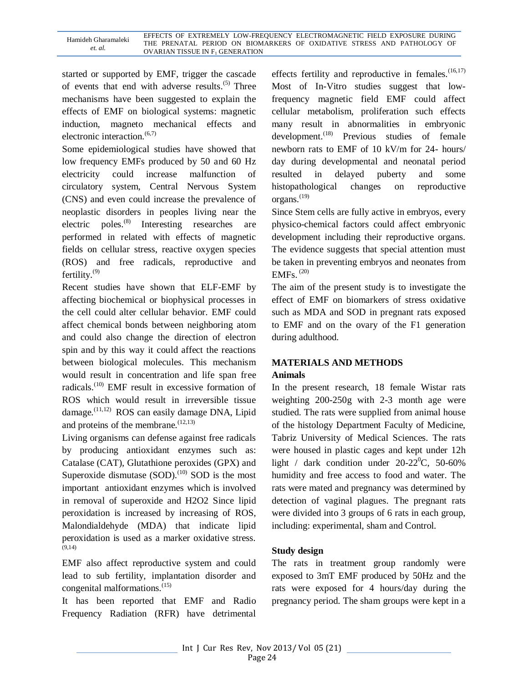started or supported by EMF, trigger the cascade of events that end with adverse results.<sup>(5)</sup> Three mechanisms have been suggested to explain the effects of EMF on biological systems: magnetic induction, magneto mechanical effects and electronic interaction. $(6,7)$ 

Some epidemiological studies have showed that low frequency EMFs produced by 50 and 60 Hz electricity could increase malfunction of circulatory system, Central Nervous System (CNS) and even could increase the prevalence of neoplastic disorders in peoples living near the electric poles.(8) Interesting researches are performed in related with effects of magnetic fields on cellular stress, reactive oxygen species (ROS) and free radicals, reproductive and fertility. $(9)$ 

Recent studies have shown that ELF-EMF by affecting biochemical or biophysical processes in the cell could alter cellular behavior. EMF could affect chemical bonds between neighboring atom and could also change the direction of electron spin and by this way it could affect the reactions between biological molecules. This mechanism would result in concentration and life span free radicals.(10) EMF result in excessive formation of ROS which would result in irreversible tissue damage.(11,12) ROS can easily damage DNA, Lipid and proteins of the membrane.  $(12,13)$ 

Living organisms can defense against free radicals by producing antioxidant enzymes such as: Catalase (CAT), Glutathione peroxides (GPX) and Superoxide dismutase  $(SOD)$ .<sup>(10)</sup> SOD is the most important antioxidant enzymes which is involved in removal of superoxide and H2O2 Since lipid peroxidation is increased by increasing of ROS, Malondialdehyde (MDA) that indicate lipid peroxidation is used as a marker oxidative stress. (9,14)

EMF also affect reproductive system and could lead to sub fertility, implantation disorder and congenital malformations.(15)

It has been reported that EMF and Radio Frequency Radiation (RFR) have detrimental effects fertility and reproductive in females. $(16,17)$ Most of In-Vitro studies suggest that lowfrequency magnetic field EMF could affect cellular metabolism, proliferation such effects many result in abnormalities in embryonic development.<sup>(18)</sup> Previous studies of female newborn rats to EMF of 10 kV/m for 24- hours/ day during developmental and neonatal period resulted in delayed puberty and some histopathological changes on reproductive organs. $^{(19)}$ 

Since Stem cells are fully active in embryos, every physico-chemical factors could affect embryonic development including their reproductive organs. The evidence suggests that special attention must be taken in preventing embryos and neonates from EMFs. (20)

The aim of the present study is to investigate the effect of EMF on biomarkers of stress oxidative such as MDA and SOD in pregnant rats exposed to EMF and on the ovary of the F1 generation during adulthood.

# **MATERIALS AND METHODS Animals**

In the present research, 18 female Wistar rats weighting 200-250g with 2-3 month age were studied. The rats were supplied from animal house of the histology Department Faculty of Medicine, Tabriz University of Medical Sciences. The rats were housed in plastic cages and kept under 12h light / dark condition under  $20-22^{\circ}$ C, 50-60% humidity and free access to food and water. The rats were mated and pregnancy was determined by detection of vaginal plagues. The pregnant rats were divided into 3 groups of 6 rats in each group, including: experimental, sham and Control.

## **Study design**

The rats in treatment group randomly were exposed to 3mT EMF produced by 50Hz and the rats were exposed for 4 hours/day during the pregnancy period. The sham groups were kept in a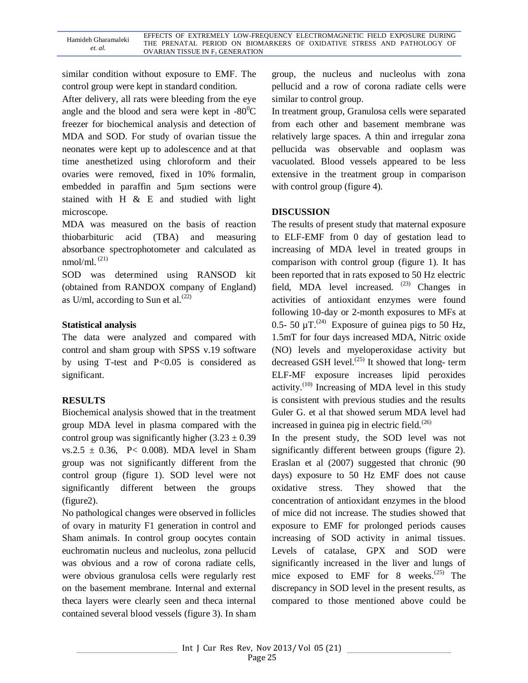similar condition without exposure to EMF. The control group were kept in standard condition.

After delivery, all rats were bleeding from the eye angle and the blood and sera were kept in  $-80^{\circ}$ C freezer for biochemical analysis and detection of MDA and SOD. For study of ovarian tissue the neonates were kept up to adolescence and at that time anesthetized using chloroform and their ovaries were removed, fixed in 10% formalin, embedded in paraffin and 5µm sections were stained with H & E and studied with light microscope.

MDA was measured on the basis of reaction thiobarbituric acid (TBA) and measuring absorbance spectrophotometer and calculated as nmol/ml.  $(21)$ 

SOD was determined using RANSOD kit (obtained from RANDOX company of England) as U/ml, according to Sun et al.<sup> $(22)$ </sup>

## **Statistical analysis**

The data were analyzed and compared with control and sham group with SPSS v.19 software by using T-test and P<0.05 is considered as significant.

## **RESULTS**

Biochemical analysis showed that in the treatment group MDA level in plasma compared with the control group was significantly higher  $(3.23 \pm 0.39)$ vs.2.5  $\pm$  0.36, P< 0.008). MDA level in Sham group was not significantly different from the control group (figure 1). SOD level were not significantly different between the groups (figure2).

No pathological changes were observed in follicles of ovary in maturity F1 generation in control and Sham animals. In control group oocytes contain euchromatin nucleus and nucleolus, zona pellucid was obvious and a row of corona radiate cells, were obvious granulosa cells were regularly rest on the basement membrane. Internal and external theca layers were clearly seen and theca internal contained several blood vessels (figure 3). In sham group, the nucleus and nucleolus with zona pellucid and a row of corona radiate cells were similar to control group.

In treatment group, Granulosa cells were separated from each other and basement membrane was relatively large spaces. A thin and irregular zona pellucida was observable and ooplasm was vacuolated. Blood vessels appeared to be less extensive in the treatment group in comparison with control group (figure 4).

## **DISCUSSION**

The results of present study that maternal exposure to ELF-EMF from 0 day of gestation lead to increasing of MDA level in treated groups in comparison with control group (figure 1). It has been reported that in rats exposed to 50 Hz electric field, MDA level increased.  $(23)$  Changes in activities of antioxidant enzymes were found following 10-day or 2-month exposures to MFs at 0.5- 50  $\mu$ T.<sup>(24)</sup> Exposure of guinea pigs to 50 Hz, 1.5mT for four days increased MDA, Nitric oxide (NO) levels and myeloperoxidase activity but decreased GSH level. $^{(25)}$  It showed that long- term ELF-MF exposure increases lipid peroxides activity. $(10)$  Increasing of MDA level in this study is consistent with previous studies and the results Guler G. et al that showed serum MDA level had increased in guinea pig in electric field. $^{(26)}$ 

In the present study, the SOD level was not significantly different between groups (figure 2). Eraslan et al (2007) suggested that chronic (90 days) exposure to 50 Hz EMF does not cause oxidative stress. They showed that the concentration of antioxidant enzymes in the blood of mice did not increase. The studies showed that exposure to EMF for prolonged periods causes increasing of SOD activity in animal tissues. Levels of catalase, GPX and SOD were significantly increased in the liver and lungs of mice exposed to EMF for 8 weeks. $(25)$  The discrepancy in SOD level in the present results, as compared to those mentioned above could be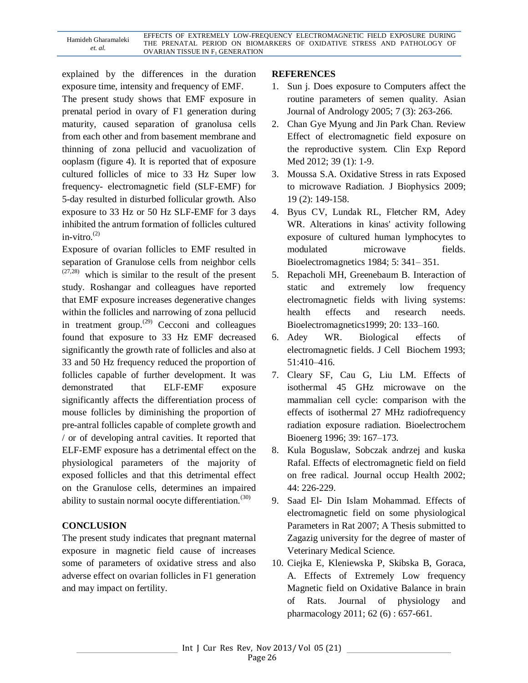explained by the differences in the duration exposure time, intensity and frequency of EMF.

The present study shows that EMF exposure in prenatal period in ovary of F1 generation during maturity, caused separation of granolusa cells from each other and from basement membrane and thinning of zona pellucid and vacuolization of ooplasm (figure 4). It is reported that of exposure cultured follicles of mice to 33 Hz Super low frequency- electromagnetic field (SLF-EMF) for 5-day resulted in disturbed follicular growth. Also exposure to 33 Hz or 50 Hz SLF-EMF for 3 days inhibited the antrum formation of follicles cultured in-vitro. $^{(2)}$ 

Exposure of ovarian follicles to EMF resulted in separation of Granulose cells from neighbor cells  $(27,28)$  which is similar to the result of the present study. Roshangar and colleagues have reported that EMF exposure increases degenerative changes within the follicles and narrowing of zona pellucid in treatment group.<sup> $(29)$ </sup> Cecconi and colleagues found that exposure to 33 Hz EMF decreased significantly the growth rate of follicles and also at 33 and 50 Hz frequency reduced the proportion of follicles capable of further development. It was demonstrated that ELF-EMF exposure significantly affects the differentiation process of mouse follicles by diminishing the proportion of pre-antral follicles capable of complete growth and / or of developing antral cavities. It reported that ELF-EMF exposure has a detrimental effect on the physiological parameters of the majority of exposed follicles and that this detrimental effect on the Granulose cells, determines an impaired ability to sustain normal oocyte differentiation.<sup>(30)</sup>

## **CONCLUSION**

The present study indicates that pregnant maternal exposure in magnetic field cause of increases some of parameters of oxidative stress and also adverse effect on ovarian follicles in F1 generation and may impact on fertility.

#### **REFERENCES**

- 1. Sun j. Does exposure to Computers affect the routine parameters of semen quality. Asian Journal of Andrology 2005; 7 (3): 263-266.
- 2. Chan Gye Myung and Jin Park Chan. Review Effect of electromagnetic field exposure on the reproductive system. Clin Exp Repord Med 2012; 39 (1): 1-9.
- 3. Moussa S.A. Oxidative Stress in rats Exposed to microwave Radiation. J Biophysics 2009; 19 (2): 149-158.
- 4. Byus CV, Lundak RL, Fletcher RM, Adey WR. Alterations in kinas' activity following exposure of cultured human lymphocytes to modulated microwave fields. Bioelectromagnetics 1984; 5: 341– 351.
- 5. Repacholi MH, Greenebaum B. Interaction of static and extremely low frequency electromagnetic fields with living systems: health effects and research needs. Bioelectromagnetics1999; 20: 133–160.
- 6. Adey WR. Biological effects of electromagnetic fields. J Cell Biochem 1993; 51:410–416.
- 7. Cleary SF, Cau G, Liu LM. Effects of isothermal 45 GHz microwave on the mammalian cell cycle: comparison with the effects of isothermal 27 MHz radiofrequency radiation exposure radiation. Bioelectrochem Bioenerg 1996; 39: 167–173.
- 8. Kula Boguslaw, Sobczak andrzej and kuska Rafal. Effects of electromagnetic field on field on free radical. Journal occup Health 2002; 44: 226-229.
- 9. Saad El- Din Islam Mohammad. Effects of electromagnetic field on some physiological Parameters in Rat 2007; A Thesis submitted to Zagazig university for the degree of master of Veterinary Medical Science.
- 10. Ciejka E, Kleniewska P, Skibska B, Goraca, A. Effects of Extremely Low frequency Magnetic field on Oxidative Balance in brain of Rats. Journal of physiology and pharmacology 2011; 62 (6) : 657-661.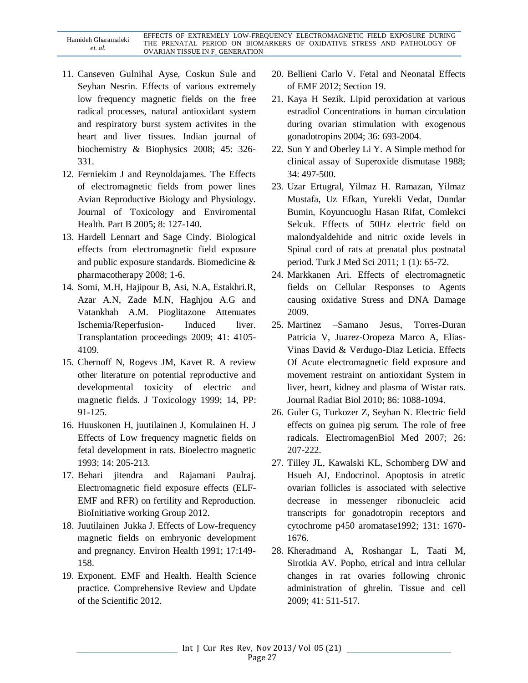| Hamideh Gharamaleki<br>et. al. | EFFECTS OF EXTREMELY LOW-FREQUENCY ELECTROMAGNETIC FIELD EXPOSURE DURING |
|--------------------------------|--------------------------------------------------------------------------|
|                                | THE PRENATAL PERIOD ON BIOMARKERS OF OXIDATIVE STRESS AND PATHOLOGY OF   |
|                                | <b>OVARIAN TISSUE IN F<sub>1</sub> GENERATION</b>                        |

- 11. Canseven Gulnihal Ayse, Coskun Sule and Seyhan Nesrin. Effects of various extremely low frequency magnetic fields on the free radical processes, natural antioxidant system and respiratory burst system activites in the heart and liver tissues. Indian journal of biochemistry & Biophysics 2008; 45: 326- 331.
- 12. Ferniekim J and Reynoldajames. The Effects of electromagnetic fields from power lines Avian Reproductive Biology and Physiology. Journal of Toxicology and Enviromental Health. Part B 2005; 8: 127-140.
- 13. Hardell Lennart and Sage Cindy. Biological effects from electromagnetic field exposure and public exposure standards. Biomedicine & pharmacotherapy 2008; 1-6.
- 14. Somi, M.H, Hajipour B, Asi, N.A, Estakhri.R, Azar A.N, Zade M.N, Haghjou A.G and Vatankhah A.M. Pioglitazone Attenuates Ischemia/Reperfusion- Induced liver. Transplantation proceedings 2009; 41: 4105- 4109.
- 15. Chernoff N, Rogevs JM, Kavet R. A review other literature on potential reproductive and developmental toxicity of electric and magnetic fields. J Toxicology 1999; 14, PP: 91-125.
- 16. Huuskonen H, juutilainen J, Komulainen H. J Effects of Low frequency magnetic fields on fetal development in rats. Bioelectro magnetic 1993; 14: 205-213.
- 17. Behari jitendra and Rajamani Paulraj. Electromagnetic field exposure effects (ELF-EMF and RFR) on fertility and Reproduction. BioInitiative working Group 2012.
- 18. Juutilainen Jukka J. Effects of Low-frequency magnetic fields on embryonic development and pregnancy. Environ Health 1991; 17:149- 158.
- 19. Exponent. EMF and Health. Health Science practice. Comprehensive Review and Update of the Scientific 2012.
- 20. Bellieni Carlo V. Fetal and Neonatal Effects of EMF 2012; Section 19.
- 21. Kaya H Sezik. Lipid peroxidation at various estradiol Concentrations in human circulation during ovarian stimulation with exogenous gonadotropins 2004; 36: 693-2004.
- 22. Sun Y and Oberley Li Y. A Simple method for clinical assay of Superoxide dismutase 1988; 34: 497-500.
- 23. Uzar Ertugral, Yilmaz H. Ramazan, Yilmaz Mustafa, Uz Efkan, Yurekli Vedat, Dundar Bumin, Koyuncuoglu Hasan Rifat, Comlekci Selcuk. Effects of 50Hz electric field on malondyaldehide and nitric oxide levels in Spinal cord of rats at prenatal plus postnatal period. Turk J Med Sci 2011; 1 (1): 65-72.
- 24. Markkanen Ari. Effects of electromagnetic fields on Cellular Responses to Agents causing oxidative Stress and DNA Damage 2009.
- 25. Martinez –Samano Jesus, Torres-Duran Patricia V, Juarez-Oropeza Marco A, Elias-Vinas David & Verdugo-Diaz Leticia. Effects Of Acute electromagnetic field exposure and movement restraint on antioxidant System in liver, heart, kidney and plasma of Wistar rats. Journal Radiat Biol 2010; 86: 1088-1094.
- 26. Guler G, Turkozer Z, Seyhan N. Electric field effects on guinea pig serum. The role of free radicals. ElectromagenBiol Med 2007; 26: 207-222.
- 27. Tilley JL, Kawalski KL, Schomberg DW and Hsueh AJ, Endocrinol. Apoptosis in atretic ovarian follicles is associated with selective decrease in messenger ribonucleic acid transcripts for gonadotropin receptors and cytochrome p450 aromatase1992; 131: 1670- 1676.
- 28. Kheradmand A, Roshangar L, Taati M, Sirotkia AV. Popho, etrical and intra cellular changes in rat ovaries following chronic administration of ghrelin. Tissue and cell 2009; 41: 511-517.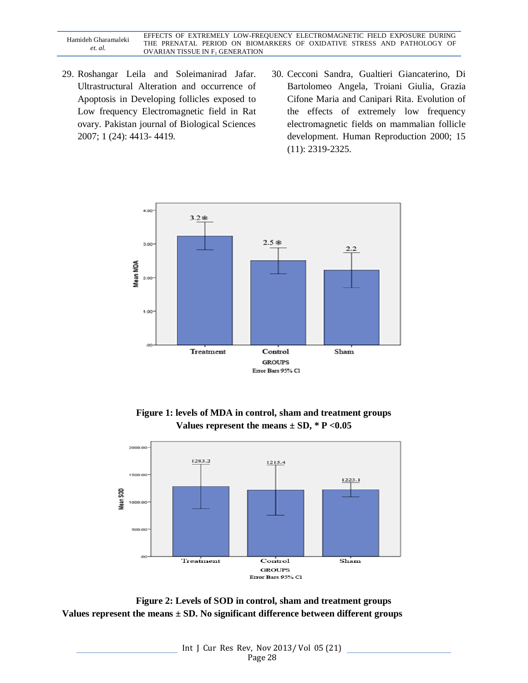Hamideh Gharamaleki *et. al.* EFFECTS OF EXTREMELY LOW-FREQUENCY ELECTROMAGNETIC FIELD EXPOSURE DURING THE PRENATAL PERIOD ON BIOMARKERS OF OXIDATIVE STRESS AND PATHOLOGY OF OVARIAN TISSUE IN  $\mathrm{F}_1$  GENERATION

- 29. Roshangar Leila and Soleimanirad Jafar. Ultrastructural Alteration and occurrence of Apoptosis in Developing follicles exposed to Low frequency Electromagnetic field in Rat ovary. Pakistan journal of Biological Sciences 2007; 1 (24): 4413- 4419.
- 30. Cecconi Sandra, Gualtieri Giancaterino, Di Bartolomeo Angela, Troiani Giulia, Grazia Cifone Maria and Canipari Rita. Evolution of the effects of extremely low frequency electromagnetic fields on mammalian follicle development. Human Reproduction 2000; 15 (11): 2319-2325.







**Figure 2: Levels of SOD in control, sham and treatment groups Values represent the means ± SD. No significant difference between different groups**